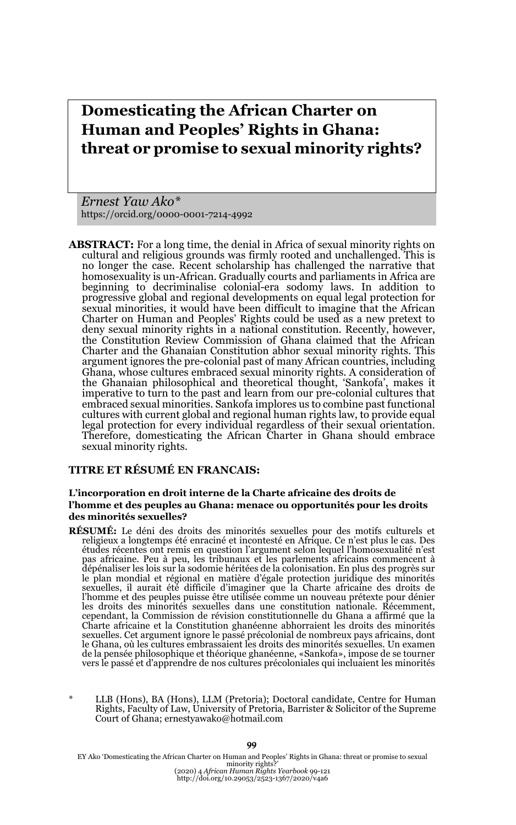# **Domesticating the African Charter on Human and Peoples' Rights in Ghana: threat or promise to sexual minority rights?**

*Ernest Yaw Ako\** https://orcid.org/0000-0001-7214-4992

**ABSTRACT:** For a long time, the denial in Africa of sexual minority rights on cultural and religious grounds was firmly rooted and unchallenged. This is no longer the case. Recent scholarship has challenged the narrative that homosexuality is un-African. Gradually courts and parliaments in Africa are beginning to decriminalise colonial-era sodomy laws. In addition to progressive global and regional developments on equal legal protection for sexual minorities, it would have been difficult to imagine that the African Charter on Human and Peoples' Rights could be used as a new pretext to deny sexual minority rights in a national constitution. Recently, however, the Constitution Review Commission of Ghana claimed that the African Charter and the Ghanaian Constitution abhor sexual minority rights. This argument ignores the pre-colonial past of many African countries, including Ghana, whose cultures embraced sexual minority rights. A consideration of the Ghanaian philosophical and theoretical thought, 'Sankofa', makes it imperative to turn to the past and learn from our pre-colonial cultures that embraced sexual minorities. Sankofa implores us to combine past functional cultures with current global and regional human rights law, to provide equal legal protection for every individual regardless of their sexual orientation. Therefore, domesticating the African Charter in Ghana should embrace sexual minority rights.

### **TITRE ET RÉSUMÉ EN FRANCAIS:**

### **L'incorporation en droit interne de la Charte africaine des droits de l'homme et des peuples au Ghana: menace ou opportunités pour les droits des minorités sexuelles?**

- **RÉSUMÉ:** Le déni des droits des minorités sexuelles pour des motifs culturels et religieux a longtemps été enraciné et incontesté en Afrique. Ce n'est plus le cas. Des études récentes ont remis en question l'argument selon lequel l'homosexualité n'est pas africaine. Peu à peu, les tribunaux et les parlements africains commencent à<br>dépénaliser les lois sur la sodomie héritées de la colonisation. En plus des progrès sur le plan mondial et régional en matière d'égale protection juridique des minorités sexuelles, il aurait été difficile d'imaginer que la Charte africaine des droits de<br>l'homme et des peuples puisse être utilisée comme un nouveau prétexte pour dénier<br>les droits des minorités sexuelles dans une constitution cependant, la Commission de révision constitutionnelle du Ghana a affirmé que la Charte africaine et la Constitution ghanéenne abhorraient les droits des minorités sexuelles. Cet argument ignore le passé précolonial de nombreux pays africains, dont le Ghana, où les cultures embrassaient les droits des minorités sexuelles. Un examen de la pensée philosophique et théorique ghanéenne, «Sankofa», impose de se tourner vers le passé et d'apprendre de nos cultures précoloniales qui incluaient les minorités
- LLB (Hons), BA (Hons), LLM (Pretoria); Doctoral candidate, Centre for Human Rights, Faculty of Law, University of Pretoria, Barrister & Solicitor of the Supreme Court of Ghana; ernestyawako@hotmail.com

EY Ako 'Domesticating the African Charter on Human and Peoples' Rights in Ghana: threat or promise to sexual<br>minority rights?'<br>(2020) 4 African Human Rights Yearbook 99-121<br>http://doi.org/10.29053/2523-1367/2020/v4a6

#### 99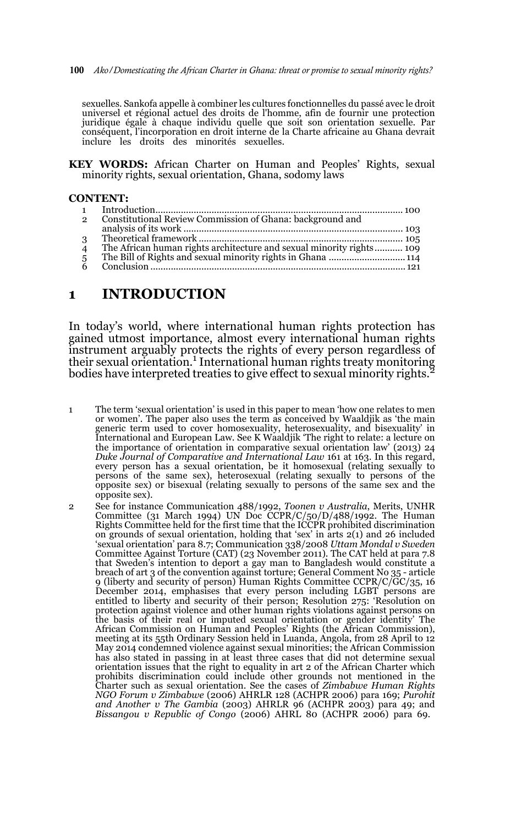100 *Ako/Domesticating the African Charter in Ghana: threat or promise to sexual minority rights?*

sexuelles. Sankofa appelle à combiner les cultures fonctionnelles du passé avec le droit universel et régional actuel des droits de l'homme, afin de fournir une protection juridique égale à chaque individu quelle que soit son orientation sexuelle. Par conséquent, l'incorporation en droit interne de la Charte africaine au Ghana devrait inclure les droits des minorités sexuelles.

**KEY WORDS:** African Charter on Human and Peoples' Rights, sexual minority rights, sexual orientation, Ghana, sodomy laws

#### **CONTENT:**

| $\mathcal{P}$  | Constitutional Review Commission of Ghana: background and            |  |
|----------------|----------------------------------------------------------------------|--|
|                |                                                                      |  |
| 3              |                                                                      |  |
| $\overline{4}$ | The African human rights architecture and sexual minority rights 109 |  |
| 5              |                                                                      |  |
|                |                                                                      |  |
|                |                                                                      |  |

### **1 INTRODUCTION**

In today's world, where international human rights protection has gained utmost importance, almost every international human rights instrument arguably protects the rights of every person regardless of their sexual orientation.1 International human rights treaty monitoring bodies have interpreted treaties to give effect to sexual minority rights.

- 1 The term 'sexual orientation' is used in this paper to mean 'how one relates to men or women'. The paper also uses the term as conceived by Waaldjik as 'the main generic term used to cover homosexuality, heterosexuality, and bisexuality' in International and European Law. See K Waaldjik 'The right to relate: a lecture on the importance of orientation in comparative sexual orientation law' (2013) 24 *Duke Journal of Comparative and International Law* 161 at 163. In this regard, every person has a sexual orientation, be it homosexual (relating sexually to persons of the same sex), heterosexual (relating sexually to persons of the opposite sex) or bisexual (relating sexually to persons of the same sex and the opposite sex).
- 2 See for instance Communication 488/1992, *Toonen v Australia*, Merits, UNHR Committee (31 March 1994) UN Doc CCPR/C/50/D/488/1992. The Human Rights Committee held for the first time that the ICCPR prohibited discrimination on grounds of sexual orientation, holding that 'sex' in arts 2(1) and 26 included 'sexual orientation' para 8.7; Communication 338/2008 *Uttam Mondal v Sweden* Committee Against Torture (CAT) (23 November 2011). The CAT held at para 7.8 that Sweden's intention to deport a gay man to Bangladesh would constitute a breach of art 3 of the convention against torture; General Comment No 35 - article 9 (liberty and security of person) Human Rights Committee CCPR/C/GC/35, 16 December 2014, emphasises that every person including LGBT persons are entitled to liberty and security of their person; Resolution 275: 'Resolution on protection against violence and other human rights violations against persons on the basis of their real or imputed sexual orientation or gender identity' The African Commission on Human and Peoples' Rights (the African Commission), meeting at its 55th Ordinary Session held in Luanda, Angola, from 28 April to 12 May 2014 condemned violence against sexual minorities; the African Commission has also stated in passing in at least three cases that did not determine sexual orientation issues that the right to equality in art 2 of the African Charter which prohibits discrimination could include other grounds not mentioned in the Charter such as sexual orientation. See the cases of *Zimbabwe Human Rights NGO Forum v Zimbabwe* (2006) AHRLR 128 (ACHPR 2006) para 169; *Purohit and Another v The Gambia* (2003) AHRLR 96 (ACHPR 2003) para 49; and *Bissangou v Republic of Congo* (2006) AHRL 80 (ACHPR 2006) para 69.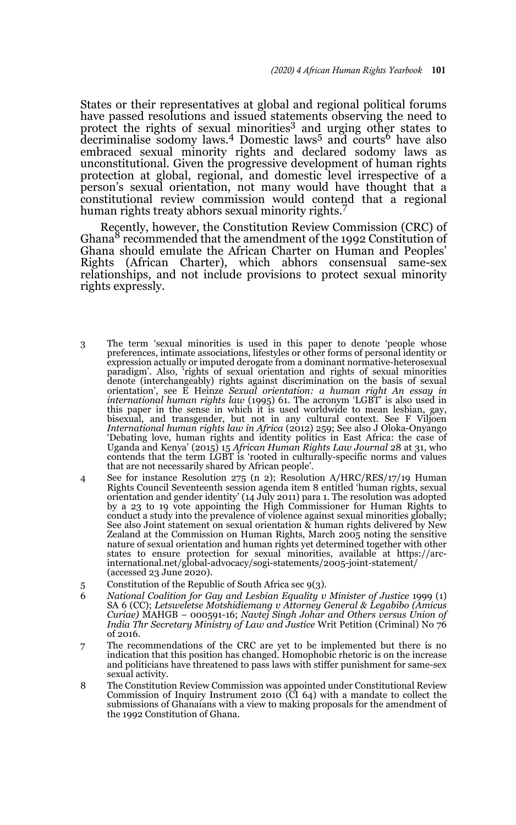States or their representatives at global and regional political forums have passed resolutions and issued statements observing the need to protect the rights of sexual minorities<sup>3</sup> and urging other states to  $\alpha$  decriminalise sodomy laws.<sup>4</sup> Domestic laws<sup>5</sup> and courts<sup>6</sup> have also embraced sexual minority rights and declared sodomy laws as unconstitutional. Given the progressive development of human rights protection at global, regional, and domestic level irrespective of a person's sexual orientation, not many would have thought that a constitutional review commission would contend that a regional human rights treaty abhors sexual minority rights.<sup>7</sup>

Recently, however, the Constitution Review Commission (CRC) of Ghana8 recommended that the amendment of the 1992 Constitution of Ghana should emulate the African Charter on Human and Peoples' Rights (African Charter), which abhors consensual same-sex relationships, and not include provisions to protect sexual minority rights expressly.

- 3 The term 'sexual minorities is used in this paper to denote 'people whose preferences, intimate associations, lifestyles or other forms of personal identity or expression actually or imputed derogate from a dominant normative-heterosexual paradigm'. Also, 'rights of sexual orientation and rights of sexual minorities denote (interchangeably) rights against discrimination on the basis of sexual orientation', see E Heinze *Sexual orientation: a human right An essay in*<br>*international human rights law* (1995) 61. The acronym 'LGBT' is also used in<br>this paper in the sense in which it is used worldwide to mean lesbia bisexual, and transgender, but not in any cultural context. See F Viljoen<br>International human rights law in Africa (2012) 259; See also J Oloka-Onyango<br>'Debating love, human rights and identity politics in East Africa: the Uganda and Kenya' (2015) 15 *African Human Rights Law Journal* 28 at 31, who contends that the term LGBT is 'rooted in culturally-specific norms and values that are not necessarily shared by African people'.
- 4 See for instance Resolution 275 (n 2); Resolution A/HRC/RES/17/19 Human Rights Council Seventeenth session agenda item 8 entitled 'human rights, sexual orientation and gender identity' (14 July 2011) para 1. The resolution was adopted by a 23 to 19 vote appointing the High Commissioner for Human Rights to conduct a study into the prevalence of violence against sexual minorities globally; See also Joint statement on sexual orientation & human rights delivered by New Zealand at the Commission on Human Rights, March 2005 noting the sensitive nature of sexual orientation and human rights yet determined together with other states to ensure protection for sexual minorities, available at https://arcinternational.net/global-advocacy/sogi-statements/2005-joint-statement/ (accessed 23 June 2020).
- 5 Constitution of the Republic of South Africa sec 9(3).
- 6 *National Coalition for Gay and Lesbian Equality v Minister of Justice* 1999 (1) SA 6 (CC); *Letsweletse Motshidiemang v Attorney General & Legabibo (Amicus Curiae)* MAHGB – 000591-16; *Navtej Singh Johar and Others versus Union of India Thr Secretary Ministry of Law and Justice* Writ Petition (Criminal) No 76 of 2016.
- 7 The recommendations of the CRC are yet to be implemented but there is no indication that this position has changed. Homophobic rhetoric is on the increase and politicians have threatened to pass laws with stiffer punishment for same-sex sexual activity.
- 8 The Constitution Review Commission was appointed under Constitutional Review Commission of Inquiry Instrument 2010 (CI 64) with a mandate to collect the submissions of Ghanaians with a view to making proposals for the amendment of the 1992 Constitution of Ghana.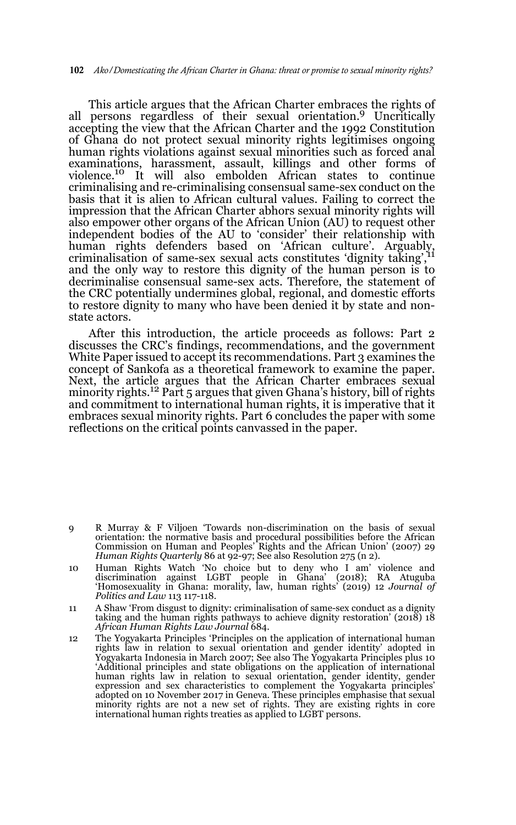This article argues that the African Charter embraces the rights of all persons regardless of their sexual orientation.9 Uncritically accepting the view that the African Charter and the 1992 Constitution of Ghana do not protect sexual minority rights legitimises ongoing human rights violations against sexual minorities such as forced anal examinations, harassment, assault, killings and other forms of violence.10 It will also embolden African states to continue criminalising and re-criminalising consensual same-sex conduct on the basis that it is alien to African cultural values. Failing to correct the impression that the African Charter abhors sexual minority rights will also empower other organs of the African Union (AU) to request other independent bodies of the AU to 'consider' their relationship with human rights defenders based on 'African culture'. Arguably, criminalisation of same-sex sexual acts constitutes 'dignity taking',11 and the only way to restore this dignity of the human person is to decriminalise consensual same-sex acts. Therefore, the statement of the CRC potentially undermines global, regional, and domestic efforts to restore dignity to many who have been denied it by state and nonstate actors.

After this introduction, the article proceeds as follows: Part 2 discusses the CRC's findings, recommendations, and the government White Paper issued to accept its recommendations. Part 3 examines the concept of Sankofa as a theoretical framework to examine the paper. Next, the article argues that the African Charter embraces sexual minority rights.<sup>12</sup> Part 5 argues that given Ghana's history, bill of rights and commitment to international human rights, it is imperative that it embraces sexual minority rights. Part 6 concludes the paper with some reflections on the critical points canvassed in the paper.

- 9 R Murray & F Viljoen 'Towards non-discrimination on the basis of sexual orientation: the normative basis and procedural possibilities before the African Commission on Human and Peoples' Rights and the African Union' (2007) 29 *Human Rights Quarterly 86 at 92-97; See also Resolution 275 (n 2).*
- 10 Human Rights Watch 'No choice but to deny who I am' violence and discrimination against LGBT people in Ghana' (2018); RA Atuguba 'Homosexuality in Ghana: morality, law, human rights' (2019) 12 *Journal of Politics and Law* 113 117-118.
- 11 A Shaw 'From disgust to dignity: criminalisation of same-sex conduct as a dignity taking and the human rights pathways to achieve dignity restoration' (2018) 18 *African Human Rights Law Journal* 684.
- 12 The Yogyakarta Principles 'Principles on the application of international human rights law in relation to sexual orientation and gender identity' adopted in Yogyakarta Indonesia in March 2007; See also The Yogyakarta Principles plus 10 'Additional principles and state obligations on the application of international human rights law in relation to sexual orientation, gender identity, gender expression and sex characteristics to complement the Yogyakarta principles' adopted on 10 November 2017 in Geneva. These principles emphasise that sexual minority rights are not a new set of rights. They are existing rights in core international human rights treaties as applied to LGBT persons.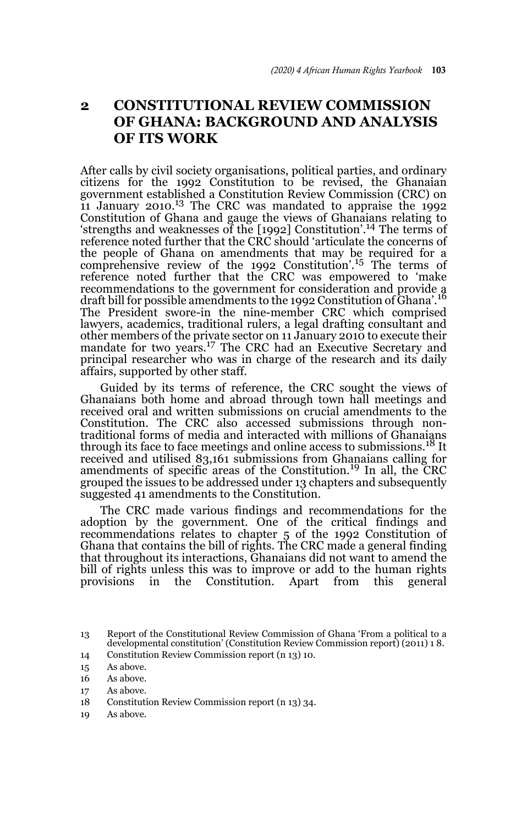## **2 CONSTITUTIONAL REVIEW COMMISSION OF GHANA: BACKGROUND AND ANALYSIS OF ITS WORK**

After calls by civil society organisations, political parties, and ordinary citizens for the 1992 Constitution to be revised, the Ghanaian government established a Constitution Review Commission (CRC) on 11 January 2010.13 The CRC was mandated to appraise the 1992 Constitution of Ghana and gauge the views of Ghanaians relating to 'strengths and weaknesses of the [1992] Constitution'.14 The terms of reference noted further that the CRC should 'articulate the concerns of the people of Ghana on amendments that may be required for a comprehensive review of the 1992 Constitution'.15 The terms of reference noted further that the CRC was empowered to 'make recommendations to the government for consideration and provide a draft bill for possible amendments to the 1992 Constitution of Ghana'.<sup>16</sup> The President swore-in the nine-member CRC which comprised lawyers, academics, traditional rulers, a legal drafting consultant and other members of the private sector on 11 January 2010 to execute their mandate for two years.17 The CRC had an Executive Secretary and principal researcher who was in charge of the research and its daily affairs, supported by other staff.

Guided by its terms of reference, the CRC sought the views of Ghanaians both home and abroad through town hall meetings and received oral and written submissions on crucial amendments to the Constitution. The CRC also accessed submissions through nontraditional forms of media and interacted with millions of Ghanaians through its face to face meetings and online access to submissions.18 It received and utilised 83,161 submissions from Ghanaians calling for amendments of specific areas of the Constitution.<sup>19</sup> In all, the CRC grouped the issues to be addressed under 13 chapters and subsequently suggested 41 amendments to the Constitution.

The CRC made various findings and recommendations for the adoption by the government. One of the critical findings and recommendations relates to chapter 5 of the 1992 Constitution of Ghana that contains the bill of rights. The CRC made a general finding that throughout its interactions, Ghanaians did not want to amend the bill of rights unless this was to improve or add to the human rights provisions in the Constitution. Apart from this general

- 18 Constitution Review Commission report (n 13) 34.
- 19 As above.

<sup>13</sup> Report of the Constitutional Review Commission of Ghana 'From a political to a developmental constitution' (Constitution Review Commission report) (2011) 1 8.

<sup>14</sup> Constitution Review Commission report (n 13) 10.

<sup>15</sup> As above.

<sup>16</sup> As above.

<sup>17</sup> As above.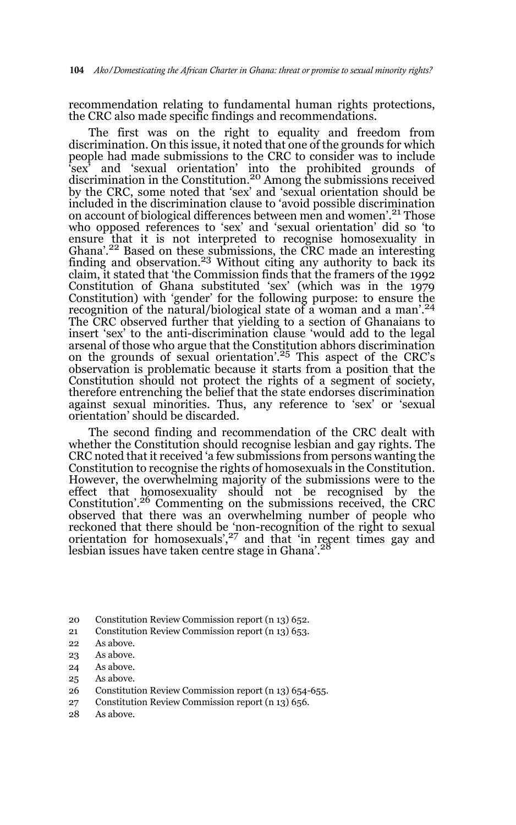recommendation relating to fundamental human rights protections, the CRC also made specific findings and recommendations.

The first was on the right to equality and freedom from discrimination. On this issue, it noted that one of the grounds for which people had made submissions to the CRC to consider was to include 'sex' and 'sexual orientation' into the prohibited grounds of discrimination in the Constitution.20 Among the submissions received by the CRC, some noted that 'sex' and 'sexual orientation should be included in the discrimination clause to 'avoid possible discrimination on account of biological differences between men and women'.21 Those who opposed references to 'sex' and 'sexual orientation' did so 'to ensure that it is not interpreted to recognise homosexuality in Ghana'.22 Based on these submissions, the CRC made an interesting finding and observation.<sup>23</sup> Without citing any authority to back its claim, it stated that 'the Commission finds that the framers of the 1992 Constitution of Ghana substituted 'sex' (which was in the 1979 Constitution) with 'gender' for the following purpose: to ensure the recognition of the natural/biological state of a woman and a man'.<sup>24</sup> The CRC observed further that yielding to a section of Ghanaians to insert 'sex' to the anti-discrimination clause 'would add to the legal arsenal of those who argue that the Constitution abhors discrimination on the grounds of sexual orientation'.25 This aspect of the CRC's observation is problematic because it starts from a position that the Constitution should not protect the rights of a segment of society, therefore entrenching the belief that the state endorses discrimination against sexual minorities. Thus, any reference to 'sex' or 'sexual orientation' should be discarded.

The second finding and recommendation of the CRC dealt with whether the Constitution should recognise lesbian and gay rights. The CRC noted that it received 'a few submissions from persons wanting the Constitution to recognise the rights of homosexuals in the Constitution. However, the overwhelming majority of the submissions were to the effect that homosexuality should not be recognised by the Constitution'.26 Commenting on the submissions received, the CRC observed that there was an overwhelming number of people who reckoned that there should be 'non-recognition of the right to sexual orientation for homosexuals',<sup>27</sup> and that 'in recent times gay and lesbian issues have taken centre stage in Ghana'.<sup>28</sup>

- 20 Constitution Review Commission report (n 13) 652.
- 21 Constitution Review Commission report (n 13) 653.
- 22 As above.
- 23 As above.
- 24 As above.
- 25 As above.
- 26 Constitution Review Commission report (n 13) 654-655.
- 27 Constitution Review Commission report (n 13) 656.
- 28 As above.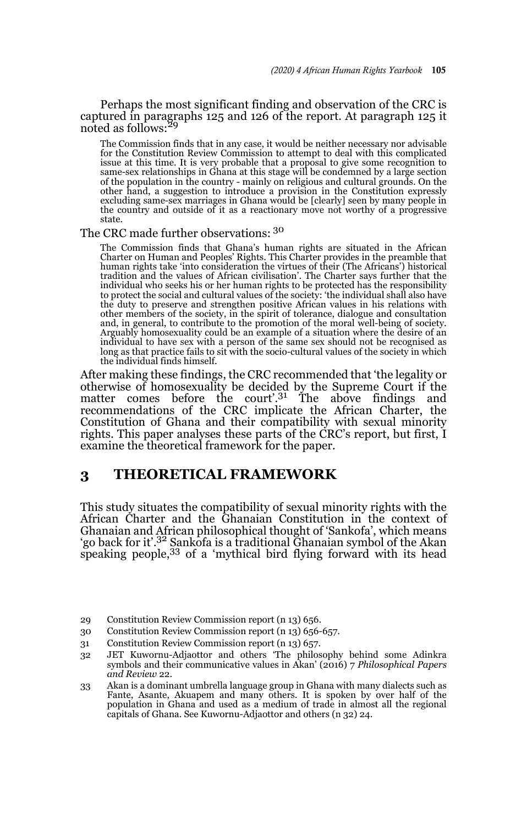Perhaps the most significant finding and observation of the CRC is captured in paragraphs 125 and 126 of the report. At paragraph 125 it noted as follows:<sup>29</sup>

The Commission finds that in any case, it would be neither necessary nor advisable for the Constitution Review Commission to attempt to deal with this complicated issue at this time. It is very probable that a proposal to give some recognition to same-sex relationships in Ghana at this stage will be condemned by a large section of the population in the country - mainly on religious and cultural grounds. On the other hand, a suggestion to introduce a provision in the Constitution expressly excluding same-sex marriages in Ghana would be [clearly] seen by many people in the country and outside of it as a reactionary move not worthy of a progressive state.

### The CRC made further observations: <sup>30</sup>

The Commission finds that Ghana's human rights are situated in the African Charter on Human and Peoples' Rights. This Charter provides in the preamble that human rights take 'into consideration the virtues of their (The Africans') historical tradition and the values of African civilisation'. The Charter says further that the individual who seeks his or her human rights to be protected has the responsibility to protect the social and cultural values of the society: 'the individual shall also have the duty to preserve and strengthen positive African values in his relations with other members of the society, in the spirit of tolerance, dialogue and consultation and, in general, to contribute to the promotion of the moral well-being of society. Arguably homosexuality could be an example of a situation where the desire of an individual to have sex with a person of the same sex should not be recognised as long as that practice fails to sit with the socio-cultural values of the society in which the individual finds himself.

After making these findings, the CRC recommended that 'the legality or otherwise of homosexuality be decided by the Supreme Court if the matter comes before the court'.<sup>31</sup> The above findings and recommendations of the CRC implicate the African Charter, the Constitution of Ghana and their compatibility with sexual minority rights. This paper analyses these parts of the CRC's report, but first, I examine the theoretical framework for the paper.

## **3 THEORETICAL FRAMEWORK**

This study situates the compatibility of sexual minority rights with the African Charter and the Ghanaian Constitution in the context of Ghanaian and African philosophical thought of 'Sankofa', which means 'go back for it'.32 Sankofa is a traditional Ghanaian symbol of the Akan speaking people,<sup>33</sup> of a 'mythical bird flying forward with its head

- 29 Constitution Review Commission report (n 13) 656.
- 30 Constitution Review Commission report (n 13) 656-657.
- 31 Constitution Review Commission report (n 13) 657.
- 32 JET Kuwornu-Adjaottor and others 'The philosophy behind some Adinkra symbols and their communicative values in Akan' (2016) 7 *Philosophical Papers and Review* 22.
- 33 Akan is a dominant umbrella language group in Ghana with many dialects such as Fante, Asante, Akuapem and many others. It is spoken by over half of the population in Ghana and used as a medium of trade in almost all the regional capitals of Ghana. See Kuwornu-Adjaottor and others (n 32) 24.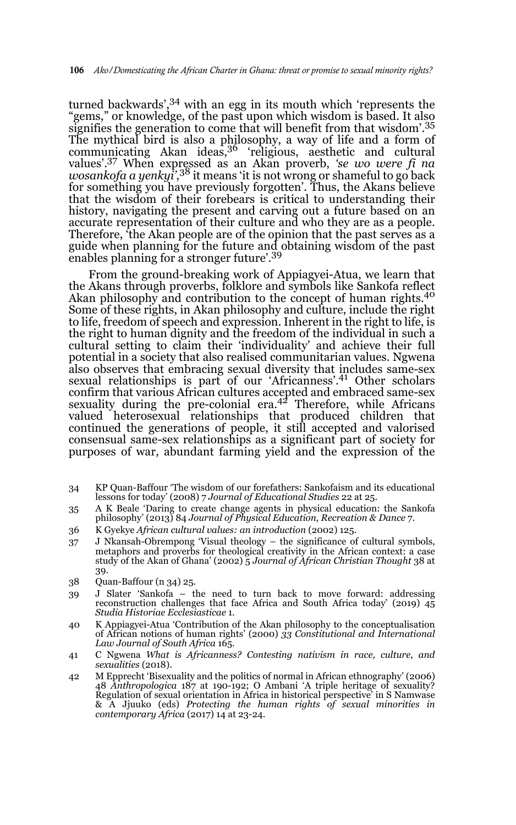turned backwards',34 with an egg in its mouth which 'represents the "gems," or knowledge, of the past upon which wisdom is based. It also signifies the generation to come that will benefit from that wisdom'.<sup>35</sup> The mythical bird is also a philosophy, a way of life and a form of communicating Akan ideas,<sup>36</sup> 'religious, aesthetic and cultural values'.37 When expressed as an Akan proverb, *'se wo were fi na wosankofa a yenkyi'*, 38 it means 'it is not wrong or shameful to go back for something you have previously forgotten'. Thus, the Akans believe that the wisdom of their forebears is critical to understanding their history, navigating the present and carving out a future based on an accurate representation of their culture and who they are as a people. Therefore, 'the Akan people are of the opinion that the past serves as a guide when planning for the future and obtaining wisdom of the past enables planning for a stronger future'.39

From the ground-breaking work of Appiagyei-Atua, we learn that the Akans through proverbs, folklore and symbols like Sankofa reflect Akan philosophy and contribution to the concept of human rights.<sup>40</sup> Some of these rights, in Akan philosophy and culture, include the right to life, freedom of speech and expression. Inherent in the right to life, is the right to human dignity and the freedom of the individual in such a cultural setting to claim their 'individuality' and achieve their full potential in a society that also realised communitarian values. Ngwena also observes that embracing sexual diversity that includes same-sex sexual relationships is part of our 'Africanness'.<sup>41</sup> Other scholars confirm that various African cultures accepted and embraced same-sex<br>sexuality during the pre-colonial era.<sup>42</sup> Therefore, while Africans valued heterosexual relationships that produced children that continued the generations of people, it still accepted and valorised consensual same-sex relationships as a significant part of society for purposes of war, abundant farming yield and the expression of the

- 34 KP Quan-Baffour 'The wisdom of our forefathers: Sankofaism and its educational lessons for today' (2008) 7 *Journal of Educational Studies* 22 at 25.
- 35 A K Beale 'Daring to create change agents in physical education: the Sankofa philosophy' (2013) 84 *Journal of Physical Education, Recreation & Dance* 7.
- 36 K Gyekye *African cultural values: an introduction* (2002) 125.
- 37 J Nkansah-Obrempong 'Visual theology the significance of cultural symbols, metaphors and proverbs for theological creativity in the African context: a case study of the Akan of Ghana' (2002) 5 *Journal of African Christian Thought* 38 at 39.
- 38 Quan-Baffour (n 34) 25.
- 39 J Slater 'Sankofa the need to turn back to move forward: addressing reconstruction challenges that face Africa and South Africa today' (2019) 45 *Studia Historiae Ecclesiasticae* 1.
- 40 K Appiagyei-Atua 'Contribution of the Akan philosophy to the conceptualisation of African notions of human rights' (2000) *33 Constitutional and International Law Journal of South Africa* 165.
- 41 C Ngwena *What is Africanness? Contesting nativism in race, culture, and sexualities* (2018).
- 42 M Epprecht 'Bisexuality and the politics of normal in African ethnography' (2006) 48 *Anthropologica* 187 at 190-192; O Ambani 'A triple heritage of sexuality? Regulation of sexual orientation in Africa in historical perspective' in S Namwase & A Jjuuko (eds) *Protecting the human rights of sexual minorities in contemporary Africa* (2017) 14 at 23-24.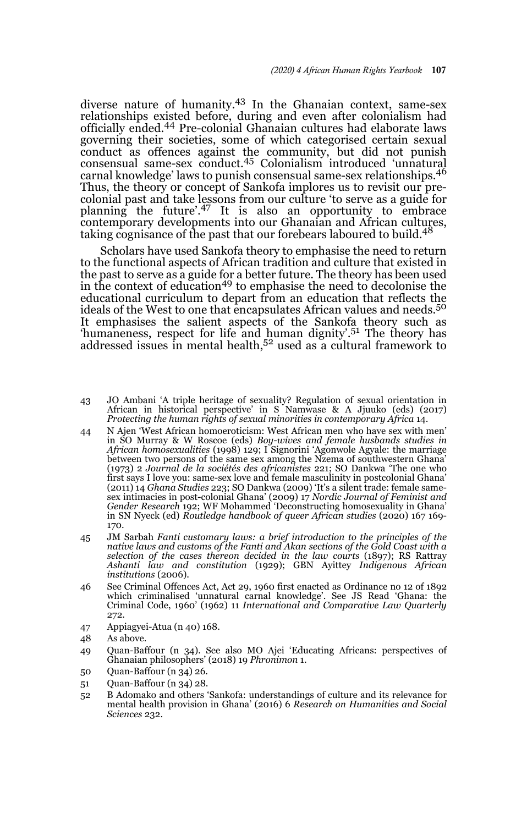diverse nature of humanity.43 In the Ghanaian context, same-sex relationships existed before, during and even after colonialism had officially ended.44 Pre-colonial Ghanaian cultures had elaborate laws governing their societies, some of which categorised certain sexual conduct as offences against the community, but did not punish consensual same-sex conduct.45 Colonialism introduced 'unnatural carnal knowledge' laws to punish consensual same-sex relationships.<sup>46</sup> Thus, the theory or concept of Sankofa implores us to revisit our precolonial past and take lessons from our culture 'to serve as a guide for planning the future'.47 It is also an opportunity to embrace contemporary developments into our Ghanaian and African cultures, taking cognisance of the past that our forebears laboured to build.<sup>48</sup>

Scholars have used Sankofa theory to emphasise the need to return to the functional aspects of African tradition and culture that existed in the past to serve as a guide for a better future. The theory has been used<br>in the context of education<sup>49</sup> to emphasise the need to decolonise the educational curriculum to depart from an education that reflects the ideals of the West to one that encapsulates African values and needs.<sup>50</sup> It emphasises the salient aspects of the Sankofa theory such as 'humaneness, respect for life and human dignity'.<sup>51</sup> The theory has  $r_{\text{at}}$  and  $r_{\text{at}}$  issues in mental health, $5^2$  used as a cultural framework to

- 43 JO Ambani 'A triple heritage of sexuality? Regulation of sexual orientation in African in historical perspective' in S Namwase & A Jjuuko (eds) (2017) *Protecting the human rights of sexual minorities in contemporary Africa* 14.
- 44 N Ajen 'West African homoeroticism: West African men who have sex with men' in SO Murray & W Roscoe (eds) *Boy-wives and female husbands studies in African homosexualities* (1998) 129; I Signorini 'Agonwole Agyale: the marriage between two persons of the same sex among the Nzema of southwestern Ghana' (1973) 2 *Journal de la sociétés des africanistes* 221; SO Dankwa 'The one who first says I love you: same-sex love and female masculinity in postcolonial Ghana' (2011) 14 *Ghana Studies* 223; SO Dankwa (2009) 'It's a silent trade: female samesex intimacies in post-colonial Ghana' (2009) 17 *Nordic Journal of Feminist and Gender Research* 192; WF Mohammed 'Deconstructing homosexuality in Ghana' in SN Nyeck (ed) *Routledge handbook of queer African studies* (2020) 167 169- 170.
- 45 JM Sarbah *Fanti customary laws: a brief introduction to the principles of the native laws and customs of the Fanti and Akan sections of the Gold Coast with a selection of the cases thereon decided in the law courts* (1897); RS Rattray *Ashanti law and constitution* (1929); GBN Ayittey *Indigenous African institutions* (2006).
- 46 See Criminal Offences Act, Act 29, 1960 first enacted as Ordinance no 12 of 1892 which criminalised 'unnatural carnal knowledge'. See JS Read 'Ghana: the Criminal Code, 1960' (1962) 11 *International and Comparative Law Quarterly* 272.
- 47 Appiagyei-Atua (n 40) 168.
- 48 As above.
- 49 Quan-Baffour (n 34). See also MO Ajei 'Educating Africans: perspectives of Ghanaian philosophers' (2018) 19 *Phronimon* 1.
- 50 Quan-Baffour (n 34) 26.
- 51 Quan-Baffour (n 34) 28.
- 52 B Adomako and others 'Sankofa: understandings of culture and its relevance for mental health provision in Ghana' (2016) 6 *Research on Humanities and Social Sciences* 232.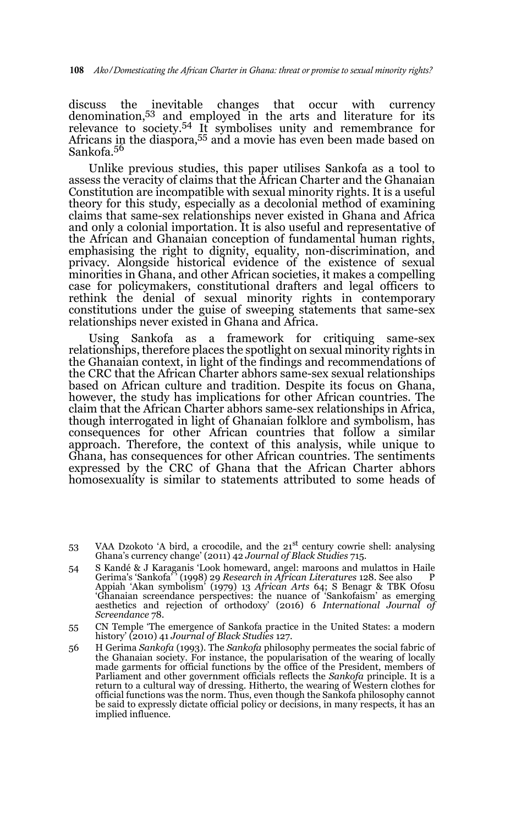discuss the inevitable changes that occur with currency denomination,53 and employed in the arts and literature for its relevance to society.<sup>54</sup> It symbolises unity and remembrance for Africans in the diaspora,<sup>55</sup> and a movie has even been made based on Sankofa.<sup>56</sup>

Unlike previous studies, this paper utilises Sankofa as a tool to assess the veracity of claims that the African Charter and the Ghanaian Constitution are incompatible with sexual minority rights. It is a useful theory for this study, especially as a decolonial method of examining claims that same-sex relationships never existed in Ghana and Africa and only a colonial importation. It is also useful and representative of the African and Ghanaian conception of fundamental human rights, emphasising the right to dignity, equality, non-discrimination, and privacy. Alongside historical evidence of the existence of sexual minorities in Ghana, and other African societies, it makes a compelling case for policymakers, constitutional drafters and legal officers to rethink the denial of sexual minority rights in contemporary constitutions under the guise of sweeping statements that same-sex relationships never existed in Ghana and Africa.

Using Sankofa as a framework for critiquing same-sex relationships, therefore places the spotlight on sexual minority rights in the Ghanaian context, in light of the findings and recommendations of the CRC that the African Charter abhors same-sex sexual relationships based on African culture and tradition. Despite its focus on Ghana, however, the study has implications for other African countries. The claim that the African Charter abhors same-sex relationships in Africa, though interrogated in light of Ghanaian folklore and symbolism, has consequences for other African countries that follow a similar approach. Therefore, the context of this analysis, while unique to Ghana, has consequences for other African countries. The sentiments expressed by the CRC of Ghana that the African Charter abhors homosexuality is similar to statements attributed to some heads of

- 53 VAA Dzokoto 'A bird, a crocodile, and the  $21<sup>st</sup>$  century cowrie shell: analysing Ghana's currency change' (2011) 42 *Journal of Black Studies* 715.
- 54 S Kandé & J Karaganis 'Look homeward, angel: maroons and mulattos in Haile Gerima's 'Sankofa' ' (1998) 29 *Research in African Literatures* 128. See also P Appiah 'Akan symbolism' (1979) 13 *African Arts* 64; S Benagr & TBK Ofosu 'Ghanaian screendance perspectives: the nuance of 'Sankofaism' as emerging aesthetics and rejection of orthodoxy' (2016) 6 *International Journal of Screendance* 78.
- 55 CN Temple 'The emergence of Sankofa practice in the United States: a modern history' (2010) 41 *Journal of Black Studies* 127.
- 56 H Gerima *Sankofa* (1993). The *Sankofa* philosophy permeates the social fabric of the Ghanaian society. For instance, the popularisation of the wearing of locally made garments for official functions by the office of the President, members of Parliament and other government officials reflects the *Sankofa* principle. It is a return to a cultural way of dressing. Hitherto, the wearing of Western clothes for official functions was the norm. Thus, even though the Sankofa philosophy cannot be said to expressly dictate official policy or decisions, in many respects, it has an implied influence.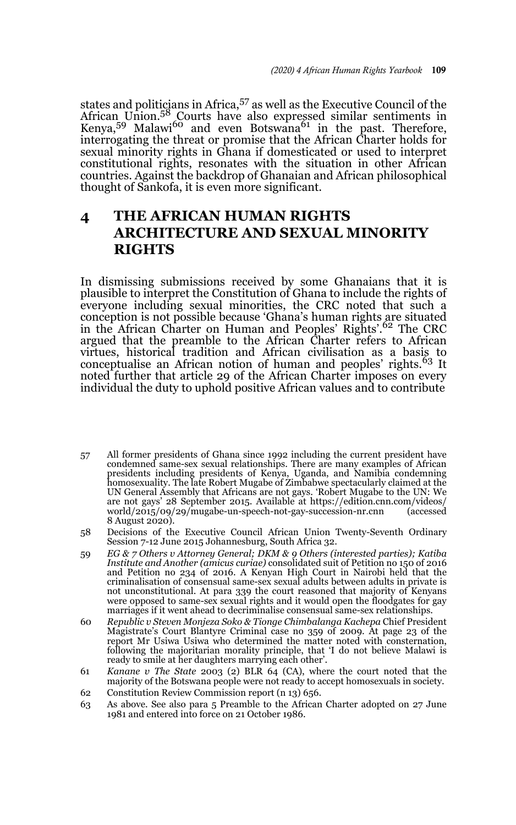states and politicians in Africa,<sup>57</sup> as well as the Executive Council of the African Union.<sup>58</sup> Courts have also expressed similar sentiments in Kenya,<sup>59</sup> Malawi<sup>60</sup> and even Botswana<sup>61</sup> in the past. Therefore, interrogating the threat or promise that the African Charter holds for sexual minority rights in Ghana if domesticated or used to interpret constitutional rights, resonates with the situation in other African countries. Against the backdrop of Ghanaian and African philosophical thought of Sankofa, it is even more significant.

## **4 THE AFRICAN HUMAN RIGHTS ARCHITECTURE AND SEXUAL MINORITY RIGHTS**

In dismissing submissions received by some Ghanaians that it is plausible to interpret the Constitution of Ghana to include the rights of everyone including sexual minorities, the CRC noted that such a conception is not possible because 'Ghana's human rights are situated in the African Charter on Human and Peoples' Rights'.<sup>62</sup> The CRC argued that the preamble to the African Charter refers to African virtues, historical tradition and African civilisation as a basis to<br>conceptualise an African notion of human and peoples' rights.<sup>63</sup> It noted further that article 29 of the African Charter imposes on every individual the duty to uphold positive African values and to contribute

- 57 All former presidents of Ghana since 1992 including the current president have condemned same-sex sexual relationships. There are many examples of African presidents including presidents of Kenya, Uganda, and Namibia condemning homosexuality. The late Robert Mugabe of Zimbabwe spectacularly claimed at the UN General Assembly that Africans are not gays. 'Robert Mugabe to the UN: We are not gays' 28 September 2015. Available at https://edition.cnn.com/videos/ world/2015/09/29/mugabe-un-speech-not-gay-succession-nr.cnn (accessed 8 August 2020).
- 58 Decisions of the Executive Council African Union Twenty-Seventh Ordinary Session 7-12 June 2015 Johannesburg, South Africa 32.
- 59 *EG & 7 Others v Attorney General; DKM & 9 Others (interested parties); Katiba Institute and Another (amicus curiae)* consolidated suit of Petition no 150 of 2016 and Petition no 234 of 2016. A Kenyan High Court in Nairobi held that the criminalisation of consensual same-sex sexual adults between adults in private is not unconstitutional. At para 339 the court reasoned that majority of Kenyans were opposed to same-sex sexual rights and it would open the floodgates for gay marriages if it went ahead to decriminalise consensual same-sex relationships.
- 60 *Republic v Steven Monjeza Soko & Tionge Chimbalanga Kachepa* Chief President Magistrate's Court Blantyre Criminal case no 359 of 2009. At page 23 of the report Mr Usiwa Usiwa who determined the matter noted with consternation, following the majoritarian morality principle, that 'I do not believe Malawi is ready to smile at her daughters marrying each other'.
- 61 *Kanane v The State* 2003 (2) BLR 64 (CA), where the court noted that the majority of the Botswana people were not ready to accept homosexuals in society.
- 62 Constitution Review Commission report (n 13) 656.
- 63 As above. See also para 5 Preamble to the African Charter adopted on 27 June 1981 and entered into force on 21 October 1986.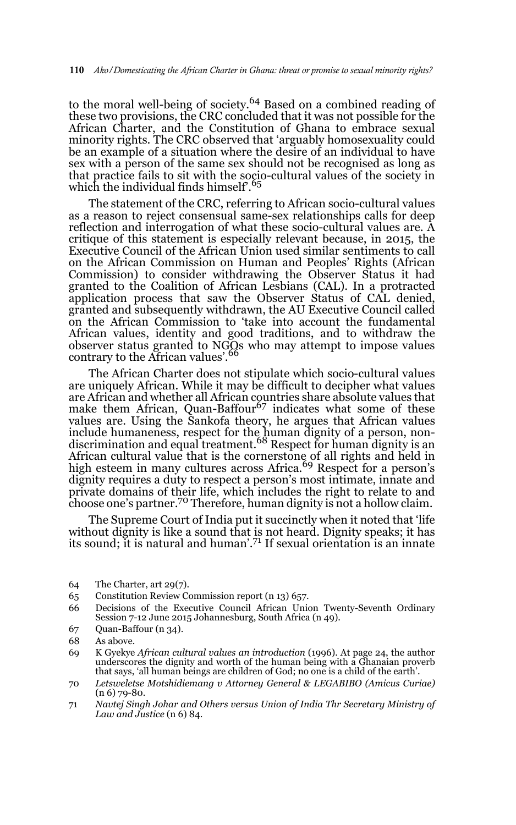to the moral well-being of society.<sup>64</sup> Based on a combined reading of these two provisions, the CRC concluded that it was not possible for the African Charter, and the Constitution of Ghana to embrace sexual minority rights. The CRC observed that 'arguably homosexuality could be an example of a situation where the desire of an individual to have sex with a person of the same sex should not be recognised as long as that practice fails to sit with the socio-cultural values of the society in which the individual finds himself.<sup>65</sup>

The statement of the CRC, referring to African socio-cultural values as a reason to reject consensual same-sex relationships calls for deep reflection and interrogation of what these socio-cultural values are. A critique of this statement is especially relevant because, in 2015, the Executive Council of the African Union used similar sentiments to call on the African Commission on Human and Peoples' Rights (African Commission) to consider withdrawing the Observer Status it had granted to the Coalition of African Lesbians (CAL). In a protracted application process that saw the Observer Status of CAL denied, granted and subsequently withdrawn, the AU Executive Council called on the African Commission to 'take into account the fundamental African values, identity and good traditions, and to withdraw the observer status granted to NGOs who may attempt to impose values contrary to the African values'.<sup>66</sup>

The African Charter does not stipulate which socio-cultural values are uniquely African. While it may be difficult to decipher what values are African and whether all African countries share absolute values that make them African, Quan-Baffour<sup>67</sup> indicates what some of these values are. Using the Sankofa theory, he argues that African values include humaneness, respect for the human dignity of a person, non-<br>discrimination and equal treatment.<sup>68</sup> Respect for human dignity is an African cultural value that is the cornerstone of all rights and held in<br>high esteem in many cultures across Africa.<sup>69</sup> Respect for a person's dignity requires a duty to respect a person's most intimate, innate and private domains of their life, which includes the right to relate to and choose one's partner.70 Therefore, human dignity is not a hollow claim.

The Supreme Court of India put it succinctly when it noted that 'life without dignity is like a sound that is not heard. Dignity speaks; it has its sound; it is natural and human'.71 If sexual orientation is an innate

65 Constitution Review Commission report (n 13) 657.

67 Quan-Baffour (n 34).

<sup>64</sup> The Charter, art 29(7).

<sup>66</sup> Decisions of the Executive Council African Union Twenty-Seventh Ordinary Session 7-12 June 2015 Johannesburg, South Africa (n 49).

<sup>68</sup> As above.

<sup>69</sup> K Gyekye *African cultural values an introduction* (1996). At page 24, the author underscores the dignity and worth of the human being with a Ghanaian proverb that says, 'all human beings are children of God; no one is a child of the earth'.

<sup>70</sup> *Letsweletse Motshidiemang v Attorney General & LEGABIBO (Amicus Curiae)* (n 6) 79-80.

<sup>71</sup> *Navtej Singh Johar and Others versus Union of India Thr Secretary Ministry of Law and Justice* (n 6) 84.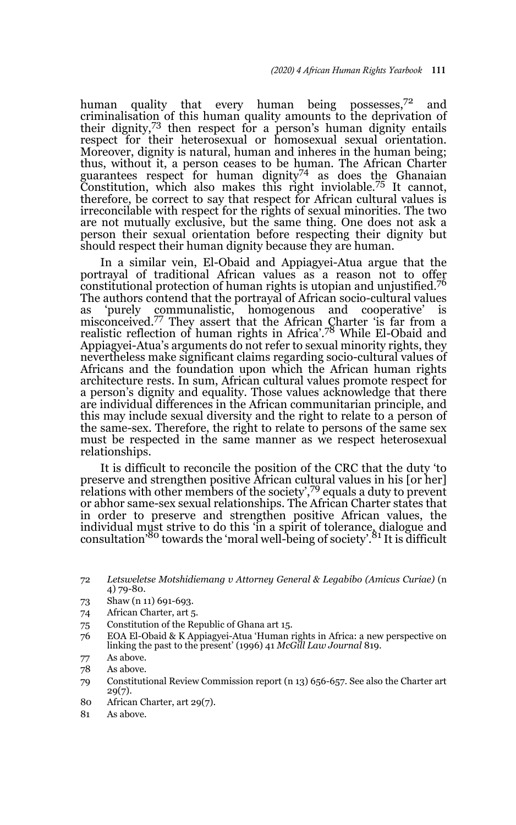human quality that every human being possesses,<sup>72</sup> and criminalisation of this human quality amounts to the deprivation of their dignity, $73$  then respect for a person's human dignity entails respect for their heterosexual or homosexual sexual orientation. Moreover, dignity is natural, human and inheres in the human being; thus, without it, a person ceases to be human. The African Charter guarantees respect for human dignity<sup>74</sup> as does the Ghanaian Constitution, which also makes this right inviolable.75 It cannot, therefore, be correct to say that respect for African cultural values is irreconcilable with respect for the rights of sexual minorities. The two are not mutually exclusive, but the same thing. One does not ask a person their sexual orientation before respecting their dignity but should respect their human dignity because they are human.

In a similar vein, El-Obaid and Appiagyei-Atua argue that the portrayal of traditional African values as a reason not to offer constitutional protection of human rights is utopian and unjustified.76 The authors contend that the portrayal of African socio-cultural values as 'purely communalistic, homogenous and cooperative' misconceived.<sup>77</sup> They assert that the African Charter 'is far from a realistic reflection of human rights in Africa'.<sup>78</sup> While El-Obaid and Appiagyei-Atua's arguments do not refer to sexual minority rights, they nevertheless make significant claims regarding socio-cultural values of Africans and the foundation upon which the African human rights architecture rests. In sum, African cultural values promote respect for a person's dignity and equality. Those values acknowledge that there are individual differences in the African communitarian principle, and this may include sexual diversity and the right to relate to a person of the same-sex. Therefore, the right to relate to persons of the same sex must be respected in the same manner as we respect heterosexual relationships.

It is difficult to reconcile the position of the CRC that the duty 'to preserve and strengthen positive African cultural values in his [or her] relations with other members of the society',79 equals a duty to prevent or abhor same-sex sexual relationships. The African Charter states that in order to preserve and strengthen positive African values, the individual must strive to do this 'in a spirit of tolerance, dialogue and<br>consultation'<sup>80</sup> towards the 'moral well-being of society'.<sup>81</sup> It is difficult

- 74 African Charter, art 5.
- 75 Constitution of the Republic of Ghana art 15.
- 76 EOA El-Obaid & K Appiagyei-Atua 'Human rights in Africa: a new perspective on linking the past to the present' (1996) 41 *McGill Law Journal* 819.
- 77 As above.
- 78 As above.
- 79 Constitutional Review Commission report (n 13) 656-657. See also the Charter art 29(7).
- 80 African Charter, art 29(7).
- 81 As above.

<sup>72</sup> *Letsweletse Motshidiemang v Attorney General & Legabibo (Amicus Curiae)* (n 4) 79-80.

<sup>73</sup> Shaw (n 11) 691-693.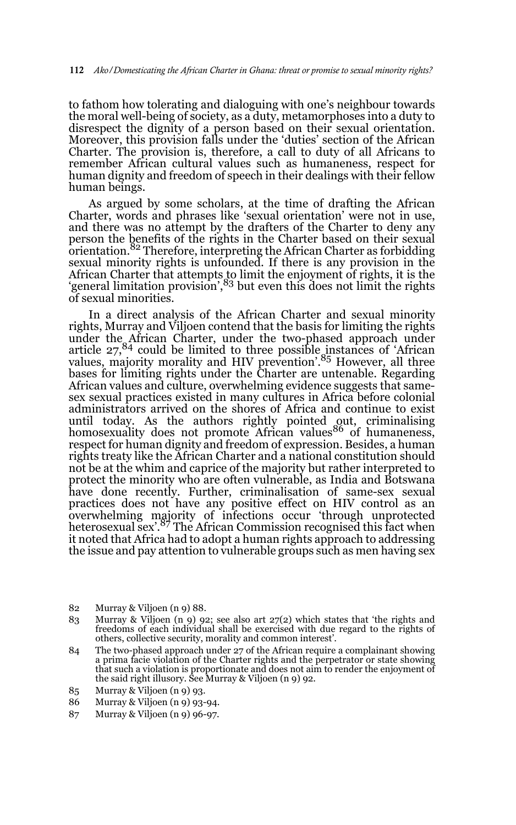to fathom how tolerating and dialoguing with one's neighbour towards the moral well-being of society, as a duty, metamorphoses into a duty to disrespect the dignity of a person based on their sexual orientation. Moreover, this provision falls under the 'duties' section of the African Charter. The provision is, therefore, a call to duty of all Africans to remember African cultural values such as humaneness, respect for human dignity and freedom of speech in their dealings with their fellow human beings.

As argued by some scholars, at the time of drafting the African Charter, words and phrases like 'sexual orientation' were not in use, and there was no attempt by the drafters of the Charter to deny any person the benefits of the rights in the Charter based on their sexual orientation.<sup>82</sup> Therefore, interpreting the African Charter as forbidding sexual minority rights is unfounded. If there is any provision in the African Charter that attempts to limit the enjoyment of rights, it is the<br>'general limitation provision',<sup>83</sup> but even this does not limit the rights of sexual minorities.

In a direct analysis of the African Charter and sexual minority rights, Murray and Viljoen contend that the basis for limiting the rights under the African Charter, under the two-phased approach under article 27,<sup>84</sup> could be limited to three possible instances of 'African values, majority morality and HIV prevention<sup>'85</sup> However, all three bases for limiting rights under the Charter are untenable. Regarding African values and culture, overwhelming evidence suggests that samesex sexual practices existed in many cultures in Africa before colonial administrators arrived on the shores of Africa and continue to exist until today. As the authors rightly pointed out, criminalising<br>homosexuality does not promote African values<sup>86</sup> of humaneness, respect for human dignity and freedom of expression. Besides, a human rights treaty like the African Charter and a national constitution should not be at the whim and caprice of the majority but rather interpreted to protect the minority who are often vulnerable, as India and Botswana have done recently. Further, criminalisation of same-sex sexual practices does not have any positive effect on HIV control as an overwhelming majority of infections occur 'through unprotected heterosexual sex'.<sup>87</sup> The African Commission recognised this fact when it noted that Africa had to adopt a human rights approach to addressing the issue and pay attention to vulnerable groups such as men having sex

87 Murray & Viljoen (n 9) 96-97.

<sup>82</sup> Murray & Viljoen (n 9) 88.

<sup>83</sup> Murray & Viljoen (n 9) 92; see also art 27(2) which states that 'the rights and freedoms of each individual shall be exercised with due regard to the rights of others, collective security, morality and common interest'.

<sup>84</sup> The two-phased approach under 27 of the African require a complainant showing a prima facie violation of the Charter rights and the perpetrator or state showing that such a violation is proportionate and does not aim to render the enjoyment of the said right illusory. See Murray & Viljoen (n 9) 92.

<sup>85</sup> Murray & Viljoen (n 9) 93.

<sup>86</sup> Murray & Viljoen (n 9) 93-94.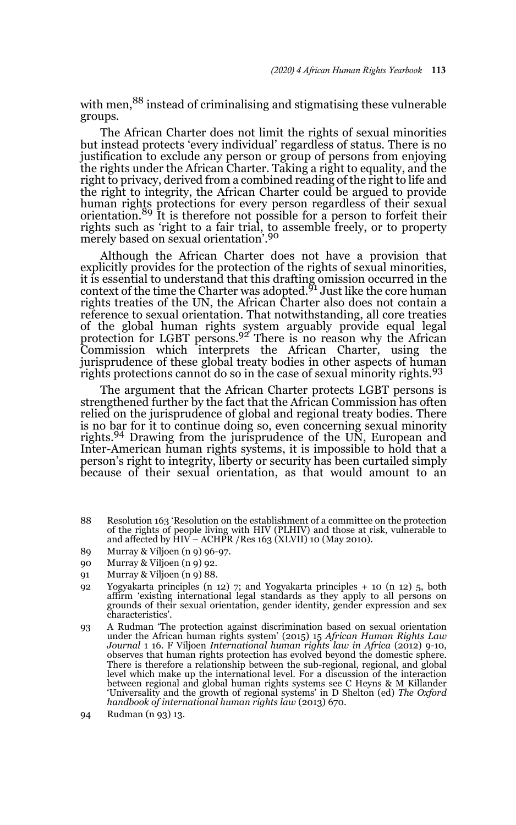with men,<sup>88</sup> instead of criminalising and stigmatising these vulnerable groups.

The African Charter does not limit the rights of sexual minorities but instead protects 'every individual' regardless of status. There is no justification to exclude any person or group of persons from enjoying the rights under the African Charter. Taking a right to equality, and the right to privacy, derived from a combined reading of the right to life and the right to integrity, the African Charter could be argued to provide human rights protections for every person regardless of their sexual orientation.89 It is therefore not possible for a person to forfeit their rights such as 'right to a fair trial, to assemble freely, or to property merely based on sexual orientation'.<sup>90</sup>

Although the African Charter does not have a provision that explicitly provides for the protection of the rights of sexual minorities, it is essential to understand that this drafting omission occurred in the<br>context of the time the Charter was adopted.<sup>91</sup> Just like the core human rights treaties of the UN, the African Charter also does not contain a reference to sexual orientation. That notwithstanding, all core treaties of the global human rights system arguably provide equal legal<br>protection for LGBT persons.<sup>92</sup> There is no reason why the African Commission which interprets the African Charter, using the jurisprudence of these global treaty bodies in other aspects of human rights protections cannot do so in the case of sexual minority rights.<sup>93</sup>

The argument that the African Charter protects LGBT persons is strengthened further by the fact that the African Commission has often relied on the jurisprudence of global and regional treaty bodies. There is no bar for it to continue doing so, even concerning sexual minority rights.<sup>94</sup> Drawing from the jurisprudence of the UN, European and Inter-American human rights systems, it is impossible to hold that a person's right to integrity, liberty or security has been curtailed simply because of their sexual orientation, as that would amount to an

- 88 Resolution 163 'Resolution on the establishment of a committee on the protection of the rights of people living with HIV (PLHIV) and those at risk, vulnerable to and affected by  $\text{HIV}$  – ACHPR / Res 163 (XLVII) 10 (May 2010).
- 89 Murray & Viljoen (n 9) 96-97.
- 90 Murray & Viljoen (n 9) 92.
- 91 Murray & Viljoen (n 9) 88.
- 92 Yogyakarta principles (n 12) 7; and Yogyakarta principles + 10 (n 12) 5, both affirm 'existing international legal standards as they apply to all persons on grounds of their sexual orientation, gender identity, gender expression and sex characteristics'.
- 93 A Rudman 'The protection against discrimination based on sexual orientation under the African human rights system' (2015) 15 *African Human Rights Law Journal* 1 16. F Viljoen *International human rights law in Africa* (2012) 9-10, observes that human rights protection has evolved beyond the domestic sphere. There is therefore a relationship between the sub-regional, regional, and global level which make up the international level. For a discussion of the interaction between regional and global human rights systems see C Heyns & M Killander 'Universality and the growth of regional systems' in D Shelton (ed) *The Oxford handbook of international human rights law* (2013) 670.
- 94 Rudman (n 93) 13.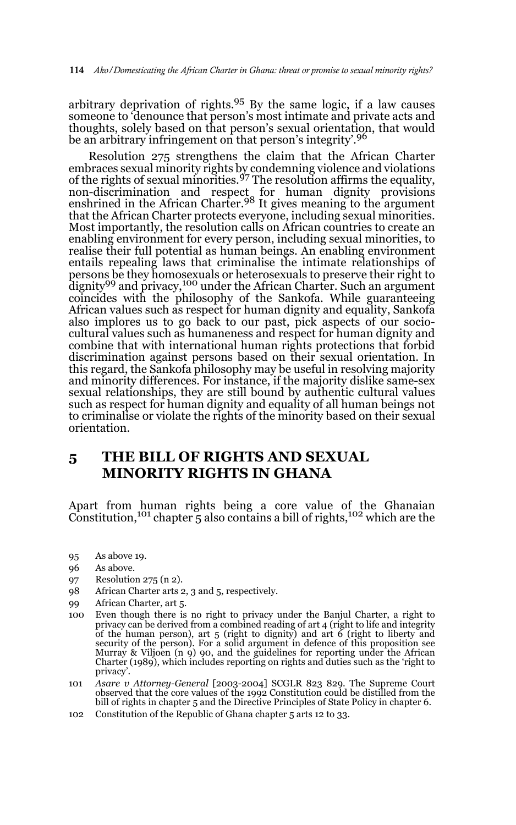arbitrary deprivation of rights.95 By the same logic, if a law causes someone to 'denounce that person's most intimate and private acts and thoughts, solely based on that person's sexual orientation, that would be an arbitrary infringement on that person's integrity'.<sup>96</sup>

Resolution 275 strengthens the claim that the African Charter embraces sexual minority rights by condemning violence and violations<br>of the rights of sexual minorities.<sup>97</sup> The resolution affirms the equality, non-discrimination and respect for human dignity provisions enshrined in the African Charter.98 It gives meaning to the argument that the African Charter protects everyone, including sexual minorities. Most importantly, the resolution calls on African countries to create an enabling environment for every person, including sexual minorities, to realise their full potential as human beings. An enabling environment entails repealing laws that criminalise the intimate relationships of persons be they homosexuals or heterosexuals to preserve their right to dignity<sup>99</sup> and privacy,<sup>100</sup> under the African Charter. Such an argument coincides with the philosophy of the Sankofa. While guaranteeing African values such as respect for human dignity and equality, Sankofa also implores us to go back to our past, pick aspects of our sociocultural values such as humaneness and respect for human dignity and combine that with international human rights protections that forbid discrimination against persons based on their sexual orientation. In this regard, the Sankofa philosophy may be useful in resolving majority and minority differences. For instance, if the majority dislike same-sex sexual relationships, they are still bound by authentic cultural values such as respect for human dignity and equality of all human beings not to criminalise or violate the rights of the minority based on their sexual orientation.

## **5 THE BILL OF RIGHTS AND SEXUAL MINORITY RIGHTS IN GHANA**

Apart from human rights being a core value of the Ghanaian<br>Constitution,<sup>101</sup> chapter 5 also contains a bill of rights,<sup>102</sup> which are the

- 95 As above 19.
- 96 As above.
- 97 Resolution 275 (n 2).
- 98 African Charter arts 2, 3 and 5, respectively.
- 99 African Charter, art 5.
- 100 Even though there is no right to privacy under the Banjul Charter, a right to privacy can be derived from a combined reading of art 4 (right to life and integrity of the human person), art 5 (right to dignity) and art 6 (right to liberty and security of the person). For a solid argument in defence of this proposition see Murray & Viljoen (n 9) 90, and the guidelines for reporting under the African Charter (1989), which includes reporting on rights and duties such as the 'right to privacy'.
- 101 *Asare v Attorney-General* [2003-2004] SCGLR 823 829. The Supreme Court observed that the core values of the 1992 Constitution could be distilled from the bill of rights in chapter 5 and the Directive Principles of State Policy in chapter 6.
- 102 Constitution of the Republic of Ghana chapter 5 arts 12 to 33.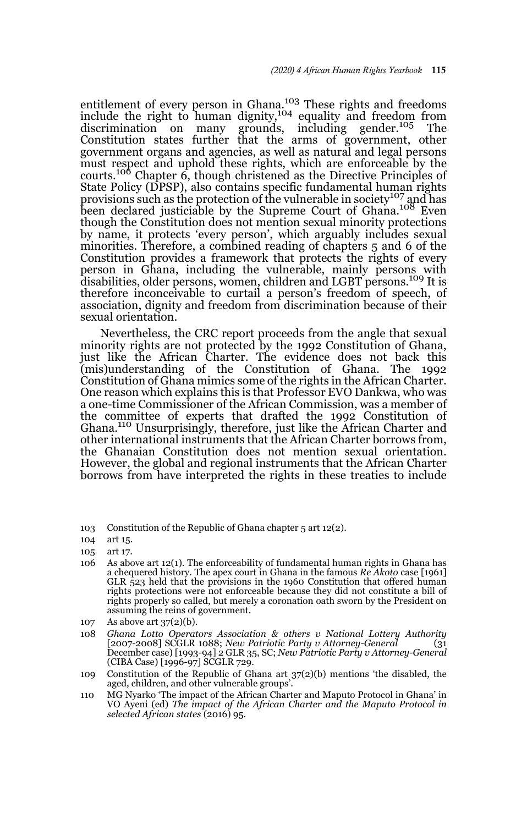entitlement of every person in Ghana.103 These rights and freedoms include the right to human dignity,<sup>104</sup> equality and freedom from<br>discrimination on many grounds, including gender.<sup>105</sup> The discrimination on many grounds, including gender.<sup>105</sup> Constitution states further that the arms of government, other government organs and agencies, as well as natural and legal persons must respect and uphold these rights, which are enforceable by the courts.<sup>106</sup> Chapter 6, though christened as the Directive Principles of State Policy (DPSP), also contains specific fundamental human rights provisions such as the protection of the vulnerable in society<sup>107</sup> and has been declared justiciable by the Supreme Court of Ghana.<sup>108</sup> Even though the Constitution does not mention sexual minority protections by name, it protects 'every person', which arguably includes sexual minorities. Therefore, a combined reading of chapters 5 and 6 of the Constitution provides a framework that protects the rights of every person in Ghana, including the vulnerable, mainly persons with disabilities, older persons, women, children and LGBT persons.109 It is therefore inconceivable to curtail a person's freedom of speech, of association, dignity and freedom from discrimination because of their sexual orientation.

Nevertheless, the CRC report proceeds from the angle that sexual minority rights are not protected by the 1992 Constitution of Ghana, just like the African Charter. The evidence does not back this (mis)understanding of the Constitution of Ghana. The 1992 Constitution of Ghana mimics some of the rights in the African Charter. One reason which explains this is that Professor EVO Dankwa, who was a one-time Commissioner of the African Commission, was a member of the committee of experts that drafted the 1992 Constitution of Ghana.110 Unsurprisingly, therefore, just like the African Charter and other international instruments that the African Charter borrows from, the Ghanaian Constitution does not mention sexual orientation. However, the global and regional instruments that the African Charter borrows from have interpreted the rights in these treaties to include

- 106 As above art 12(1). The enforceability of fundamental human rights in Ghana has a chequered history. The apex court in Ghana in the famous *Re Akoto* case [1961] GLR 523 held that the provisions in the 1960 Constitution that offered human rights protections were not enforceable because they did not constitute a bill of rights properly so called, but merely a coronation oath sworn by the President on assuming the reins of government.
- 107 As above art 37(2)(b).
- 108 *Ghana Lotto Operators Association & others v National Lottery Authority* [2007-2008] SCGLR 1088; *New Patriotic Party v Attorney-General* (31 December case) [1993-94] 2 GLR 35, SC; *New Patriotic Party v Attorney-General* (CIBA Case) [1996-97] SCGLR 729.
- 109 Constitution of the Republic of Ghana art 37(2)(b) mentions 'the disabled, the aged, children, and other vulnerable groups'.
- 110 MG Nyarko 'The impact of the African Charter and Maputo Protocol in Ghana' in VO Ayeni (ed) *The impact of the African Charter and the Maputo Protocol in selected African states* (2016) 95.

<sup>103</sup> Constitution of the Republic of Ghana chapter 5 art 12(2).

<sup>104</sup> art 15.

<sup>105</sup> art 17.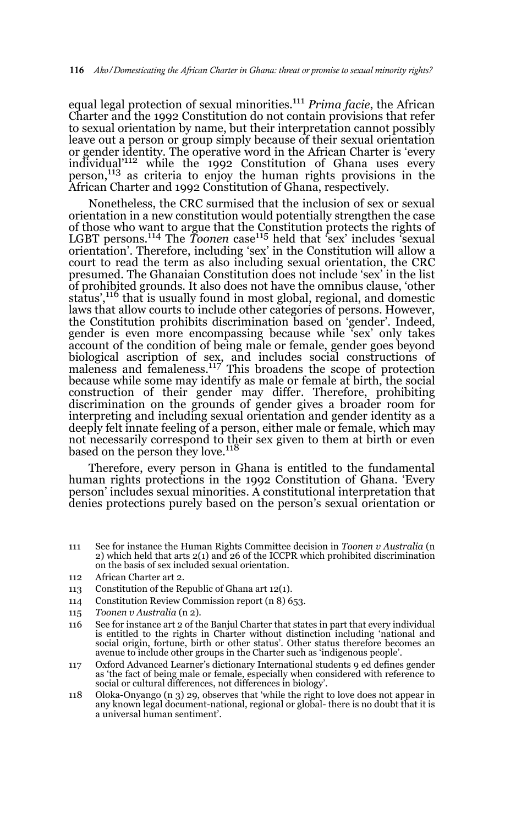equal legal protection of sexual minorities.111 *Prima facie*, the African Charter and the 1992 Constitution do not contain provisions that refer to sexual orientation by name, but their interpretation cannot possibly leave out a person or group simply because of their sexual orientation or gender identity. The operative word in the African Charter is 'every individual'112 while the 1992 Constitution of Ghana uses every person,113 as criteria to enjoy the human rights provisions in the African Charter and 1992 Constitution of Ghana, respectively.

Nonetheless, the CRC surmised that the inclusion of sex or sexual orientation in a new constitution would potentially strengthen the case of those who want to argue that the Constitution protects the rights of LGBT persons.<sup>114</sup> The *Toonen* case<sup>115</sup> held that 'sex' includes 'sexual orientation'. Therefore, including 'sex' in the Constitution will allow a court to read the term as also including sexual orientation, the CRC presumed. The Ghanaian Constitution does not include 'sex' in the list of prohibited grounds. It also does not have the omnibus clause, 'other status',116 that is usually found in most global, regional, and domestic laws that allow courts to include other categories of persons. However, the Constitution prohibits discrimination based on 'gender'. Indeed, gender is even more encompassing because while 'sex' only takes account of the condition of being male or female, gender goes beyond biological ascription of sex, and includes social constructions of maleness and femaleness.<sup>117</sup> This broadens the scope of protection because while some may identify as male or female at birth, the social construction of their gender may differ. Therefore, prohibiting discrimination on the grounds of gender gives a broader room for interpreting and including sexual orientation and gender identity as a deeply felt innate feeling of a person, either male or female, which may not necessarily correspond to their sex given to them at birth or even based on the person they love.<sup>118</sup>

Therefore, every person in Ghana is entitled to the fundamental human rights protections in the 1992 Constitution of Ghana. 'Every person' includes sexual minorities. A constitutional interpretation that denies protections purely based on the person's sexual orientation or

- 111 See for instance the Human Rights Committee decision in *Toonen v Australia* (n 2) which held that arts 2(1) and 26 of the ICCPR which prohibited discrimination on the basis of sex included sexual orientation.
- 112 African Charter art 2.
- 113 Constitution of the Republic of Ghana art 12(1).
- 114 Constitution Review Commission report (n 8) 653.
- 115 *Toonen v Australia* (n 2).
- 116 See for instance art 2 of the Banjul Charter that states in part that every individual is entitled to the rights in Charter without distinction including 'national and social origin, fortune, birth or other status'. Other status therefore becomes an avenue to include other groups in the Charter such as 'indigenous people'.
- 117 Oxford Advanced Learner's dictionary International students 9 ed defines gender as 'the fact of being male or female, especially when considered with reference to social or cultural differences, not differences in biology'.
- 118 Oloka-Onyango (n 3) 29, observes that 'while the right to love does not appear in any known legal document-national, regional or global- there is no doubt that it is a universal human sentiment'.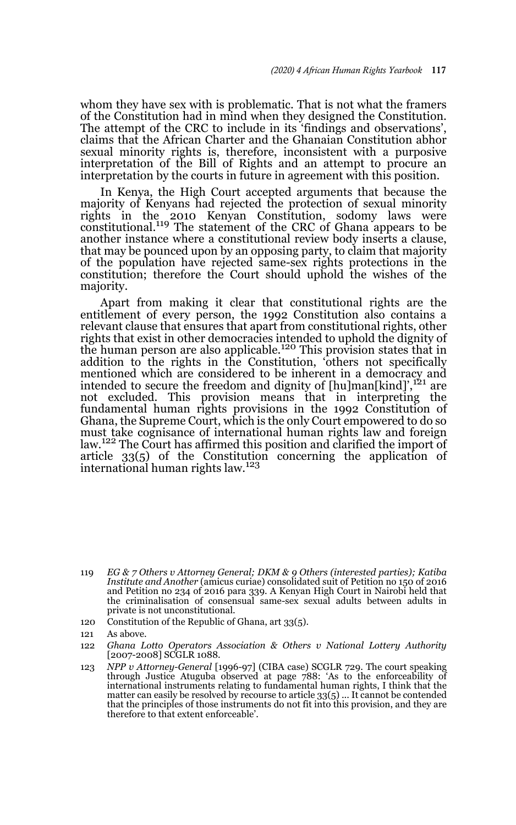whom they have sex with is problematic. That is not what the framers of the Constitution had in mind when they designed the Constitution. The attempt of the CRC to include in its 'findings and observations', claims that the African Charter and the Ghanaian Constitution abhor sexual minority rights is, therefore, inconsistent with a purposive interpretation of the Bill of Rights and an attempt to procure an interpretation by the courts in future in agreement with this position.

In Kenya, the High Court accepted arguments that because the majority of Kenyans had rejected the protection of sexual minority rights in the 2010 Kenyan Constitution, sodomy laws were constitutional.119 The statement of the CRC of Ghana appears to be another instance where a constitutional review body inserts a clause, that may be pounced upon by an opposing party, to claim that majority of the population have rejected same-sex rights protections in the constitution; therefore the Court should uphold the wishes of the majority.

Apart from making it clear that constitutional rights are the entitlement of every person, the 1992 Constitution also contains a relevant clause that ensures that apart from constitutional rights, other rights that exist in other democracies intended to uphold the dignity of the human person are also applicable.<sup>120</sup> This provision states that in addition to the rights in the Constitution, 'others not specifically mentioned which are considered to be inherent in a democracy and intended to secure the freedom and dignity of [hu]man[kind]',<sup>121</sup> are not excluded. This provision means that in interpreting the fundamental human rights provisions in the 1992 Constitution of Ghana, the Supreme Court, which is the only Court empowered to do so must take cognisance of international human rights law and foreign law.<sup>122</sup> The Court has affirmed this position and clarified the import of article 33(5) of the Constitution concerning the application of international human rights law.<sup>123</sup>

- 120 Constitution of the Republic of Ghana, art 33(5).
- 121 As above.
- 122 *Ghana Lotto Operators Association & Others v National Lottery Authority* [2007-2008] SCGLR 1088.

<sup>119</sup> *EG & 7 Others v Attorney General; DKM & 9 Others (interested parties); Katiba Institute and Another* (amicus curiae) consolidated suit of Petition no 150 of 2016 and Petition no 234 of 2016 para 339. A Kenyan High Court in Nairobi held that the criminalisation of consensual same-sex sexual adults between adults in private is not unconstitutional.

<sup>123</sup> *NPP v Attorney-General* [1996-97] (CIBA case) SCGLR 729. The court speaking through Justice Atuguba observed at page 788: 'As to the enforceability of international instruments relating to fundamental human rights, I think that the matter can easily be resolved by recourse to article 33(5) ... It cannot be contended that the principles of those instruments do not fit into this provision, and they are therefore to that extent enforceable'.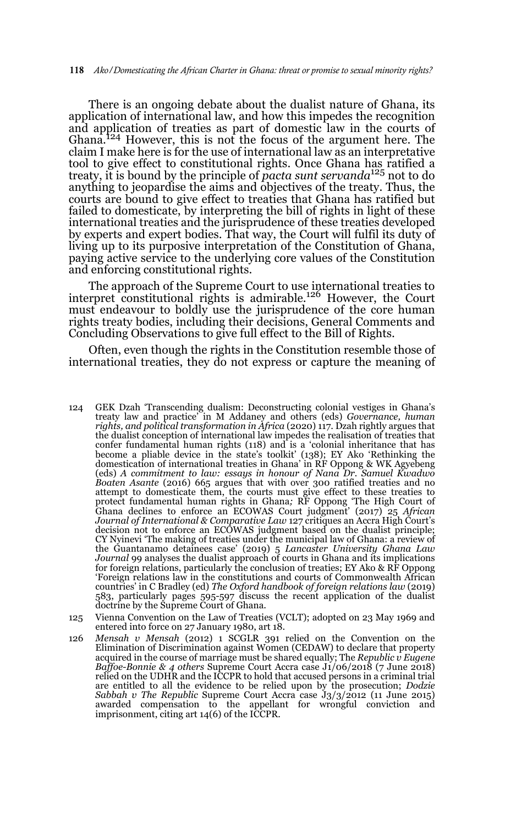There is an ongoing debate about the dualist nature of Ghana, its application of international law, and how this impedes the recognition and application of treaties as part of domestic law in the courts of Ghana.124 However, this is not the focus of the argument here. The claim I make here is for the use of international law as an interpretative tool to give effect to constitutional rights. Once Ghana has ratified a treaty, it is bound by the principle of *pacta sunt servanda*125 not to do anything to jeopardise the aims and objectives of the treaty. Thus, the courts are bound to give effect to treaties that Ghana has ratified but failed to domesticate, by interpreting the bill of rights in light of these international treaties and the jurisprudence of these treaties developed by experts and expert bodies. That way, the Court will fulfil its duty of living up to its purposive interpretation of the Constitution of Ghana, paying active service to the underlying core values of the Constitution and enforcing constitutional rights.

The approach of the Supreme Court to use international treaties to interpret constitutional rights is admirable.<sup>126</sup> However, the Court must endeavour to boldly use the jurisprudence of the core human rights treaty bodies, including their decisions, General Comments and Concluding Observations to give full effect to the Bill of Rights.

Often, even though the rights in the Constitution resemble those of international treaties, they do not express or capture the meaning of

- 124 GEK Dzah 'Transcending dualism: Deconstructing colonial vestiges in Ghana's treaty law and practice' in M Addaney and others (eds) *Governance, human rights, and political transformation in Africa* (2020) 117. Dzah rightly argues that the dualist conception of international law impedes the realisation of treaties that confer fundamental human rights (118) and is a 'colonial inheritance that has become a pliable device in the state's toolkit' (138); EY Ako 'Rethinking the domestication of international treaties in Ghana' in RF Oppong & WK Agyebeng (eds) *A commitment to law: essays in honour of Nana Dr. Samuel Kwadwo Boaten Asante* (2016) 665 argues that with over 300 ratified treaties and no attempt to domesticate them, the courts must give effect to these treaties to protect fundamental human rights in Ghana; RF Oppong 'The High Court of<br>Ghana declines to enforce an ECOWAS Court judgment' (2017) 25 *African*<br>Journal of International & Comparative Law 127 critiques an Accra High Court's decision not to enforce an ECOWAS judgment based on the dualist principle; CY Nyinevi 'The making of treaties under the municipal law of Ghana: a review of the Guantanamo detainees case' (2019) 5 *Lancaster University Ghana Law Journal* 99 analyses the dualist approach of courts in Ghana and its implications for foreign relations, particularly the conclusion of treaties; EY Ako & RF Oppong 'Foreign relations law in the constitutions and courts of Commonwealth African countries' in C Bradley (ed) *The Oxford handbook of foreign relations law* (2019) 583, particularly pages 595-597 discuss the recent application of the dualist doctrine by the Supreme Court of Ghana.
- 125 Vienna Convention on the Law of Treaties (VCLT); adopted on 23 May 1969 and entered into force on 27 January 1980, art 18.
- 126 *Mensah v Mensah* (2012) 1 SCGLR 391 relied on the Convention on the Elimination of Discrimination against Women (CEDAW) to declare that property acquired in the course of marriage must be shared equally; The *Republic v Eugene Baffoe-Bonnie & 4 others* Supreme Court Accra case J1/06/2018 (7 June 2018) relied on the UDHR and the ICCPR to hold that accused persons in a criminal trial are entitled to all the evidence to be relied upon by the prosecution; *Dodzie Sabbah v The Republic* Supreme Court Accra case J3/3/2012 (11 June 2015) awarded compensation to the appellant for wrongful conviction and imprisonment, citing art 14(6) of the ICCPR.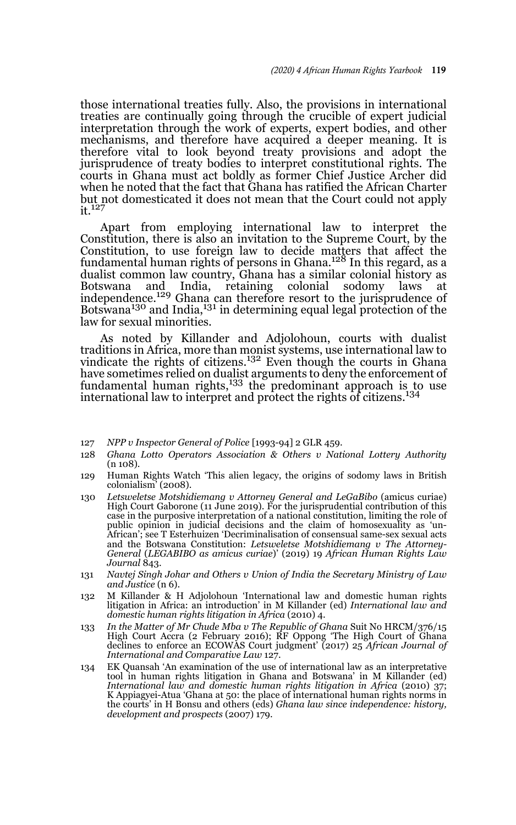those international treaties fully. Also, the provisions in international treaties are continually going through the crucible of expert judicial interpretation through the work of experts, expert bodies, and other mechanisms, and therefore have acquired a deeper meaning. It is therefore vital to look beyond treaty provisions and adopt the jurisprudence of treaty bodies to interpret constitutional rights. The courts in Ghana must act boldly as former Chief Justice Archer did when he noted that the fact that Ghana has ratified the African Charter but not domesticated it does not mean that the Court could not apply it.<sup>127</sup>

Apart from employing international law to interpret the Constitution, there is also an invitation to the Supreme Court, by the Constitution, to use foreign law to decide matters that affect the fundamental human rights of persons in Ghana.<sup>128</sup> In this regard, as a dualist common law country, Ghana has a similar colonial history as Botswana and India, retaining colonial sodomy laws at independence.<sup>129</sup> Ghana can therefore resort to the jurisprudence of  $B$ otswana<sup>130</sup> and India,<sup>131</sup> in determining equal legal protection of the law for sexual minorities.

As noted by Killander and Adjolohoun, courts with dualist traditions in Africa, more than monist systems, use international law to vindicate the rights of citizens.<sup>132</sup> Even though the courts in Ghana have sometimes relied on dualist arguments to deny the enforcement of fundamental human rights,<sup>133</sup> the predominant approach is to use international law to interpret and protect the rights of citizens.<sup>134</sup>

- 127 *NPP v Inspector General of Police* [1993-94] 2 GLR 459.
- 128 *Ghana Lotto Operators Association & Others v National Lottery Authority* (n 108).
- 129 Human Rights Watch 'This alien legacy, the origins of sodomy laws in British colonialism' (2008).
- 130 *Letsweletse Motshidiemang v Attorney General and LeGaBibo* (amicus curiae) High Court Gaborone (11 June 2019). For the jurisprudential contribution of this case in the purposive interpretation of a national constitution, limiting the role of public opinion in judicial decisions and the claim of homosexuality as 'un-African'; see T Esterhuizen 'Decriminalisation of consensual same-sex sexual acts and the Botswana Constitution: *Letsweletse Motshidiemang v The Attorney-General* (*LEGABIBO as amicus curiae*)' (2019) 19 *African Human Rights Law Journal* 843.
- 131 *Navtej Singh Johar and Others v Union of India the Secretary Ministry of Law and Justice* (n 6).
- 132 M Killander & H Adjolohoun 'International law and domestic human rights litigation in Africa: an introduction' in M Killander (ed) *International law and domestic human rights litigation in Africa* (2010) 4.
- 133 *In the Matter of Mr Chude Mba v The Republic of Ghana* Suit No HRCM/376/15 High Court Accra (2 February 2016); RF Oppong 'The High Court of Ghana declines to enforce an ECOWAS Court judgment' (2017) 25 *African Journal of International and Comparative Law* 127.
- 134 EK Quansah 'An examination of the use of international law as an interpretative tool in human rights litigation in Ghana and Botswana' in M Killander (ed) *International law and domestic human rights litigation in Africa* (2010) 37; K Appiagyei-Atua 'Ghana at 50: the place of international human rights norms in the courts' in H Bonsu and others (eds) *Ghana law since independence: history, development and prospects* (2007) 179.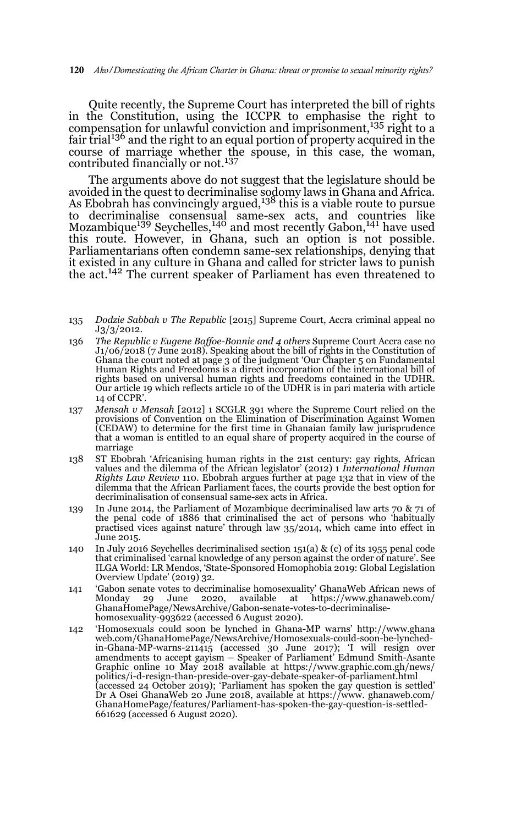Quite recently, the Supreme Court has interpreted the bill of rights in the Constitution, using the ICCPR to emphasise the right to compensation for unlawful conviction and imprisonment,<sup>135</sup> right to a fair trial<sup>136</sup> and the right to an equal portion of property acquired in the course of marriage whether the spouse, in this case, the woman, contributed financially or not.<sup>137</sup>

The arguments above do not suggest that the legislature should be avoided in the quest to decriminalise sodomy laws in Ghana and Africa.<br>As Ebobrah has convincingly argued,<sup>138</sup> this is a viable route to pursue to decriminalise consensual same-sex acts, and countries like<br>Mozambique<sup>139</sup> Seychelles,<sup>140</sup> and most recently Gabon,<sup>141</sup> have used this route. However, in Ghana, such an option is not possible. Parliamentarians often condemn same-sex relationships, denying that it existed in any culture in Ghana and called for stricter laws to punish the act.<sup>142</sup> The current speaker of Parliament has even threatened to

- 135 *Dodzie Sabbah v The Republic* [2015] Supreme Court, Accra criminal appeal no J3/3/2012.
- 136 *The Republic v Eugene Baffoe-Bonnie and 4 others* Supreme Court Accra case no J1/06/2018 (7 June 2018). Speaking about the bill of rights in the Constitution of Ghana the court noted at page 3 of the judgment 'Our Chapter 5 on Fundamental Human Rights and Freedoms is a direct incorporation of the international bill of rights based on universal human rights and freedoms contained in the UDHR. Our article 19 which reflects article 10 of the UDHR is in pari materia with article 14 of CCPR'.
- 137 *Mensah v Mensah* [2012] 1 SCGLR 391 where the Supreme Court relied on the provisions of Convention on the Elimination of Discrimination Against Women (CEDAW) to determine for the first time in Ghanaian family law jurisprudence that a woman is entitled to an equal share of property acquired in the course of marriage
- 138 ST Ebobrah 'Africanising human rights in the 21st century: gay rights, African values and the dilemma of the African legislator' (2012) 1 *International Human Rights Law Review* 110. Ebobrah argues further at page 132 that in view of the dilemma that the African Parliament faces, the courts provide the best option for decriminalisation of consensual same-sex acts in Africa.
- 139 In June 2014, the Parliament of Mozambique decriminalised law arts 70 & 71 of the penal code of 1886 that criminalised the act of persons who 'habitually practised vices against nature' through law 35/2014, which came into effect in June 2015.
- 140 In July 2016 Seychelles decriminalised section 151(a) & (c) of its 1955 penal code that criminalised 'carnal knowledge of any person against the order of nature'. See ILGA World: LR Mendos, 'State-Sponsored Homophobia 2019: Global Legislation Overview Update' (2019) 32.
- 141 'Gabon senate votes to decriminalise homosexuality' GhanaWeb African news of Monday 29 June 2020, available at https://www.ghanaweb.com/ GhanaHomePage/NewsArchive/Gabon-senate-votes-to-decriminalisehomosexuality-993622 (accessed 6 August 2020).
- 142 'Homosexuals could soon be lynched in Ghana-MP warns' http://www.ghana web.com/GhanaHomePage/NewsArchive/Homosexuals-could-soon-be-lynchedin-Ghana-MP-warns-211415 (accessed 30 June 2017); 'I will resign over amendments to accept gayism – Speaker of Parliament' Edmund Smith-Asante Graphic online 10 May 2018 available at https://www.graphic.com.gh/news/ politics/i-d-resign-than-preside-over-gay-debate-speaker-of-parliament.html (accessed 24 October 2019); 'Parliament has spoken the gay question is settled' Dr A Osei GhanaWeb 20 June 2018, available at https://www. ghanaweb.com/ GhanaHomePage/features/Parliament-has-spoken-the-gay-question-is-settled-661629 (accessed 6 August 2020).